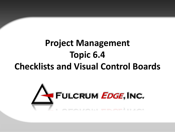# **Project Management Topic 6.4 Checklists and Visual Control Boards**

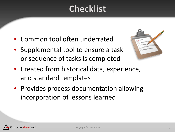## **Checklist**

- Common tool often underrated
- Supplemental tool to ensure a task or sequence of tasks is completed



- Created from historical data, experience, and standard templates
- Provides process documentation allowing incorporation of lessons learned

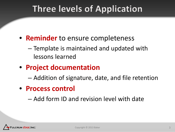## **Three levels of Application**

- **Reminder** to ensure completeness
	- Template is maintained and updated with lessons learned
- **Project documentation**
	- Addition of signature, date, and file retention
- **Process control**
	- Add form ID and revision level with date

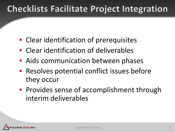# **Checklists Facilitate Project Integration**

- Clear identification of prerequisites
- Clear identification of deliverables
- Aids communication between phases
- Resolves potential conflict issues before they occur
- Provides sense of accomplishment through interim deliverables

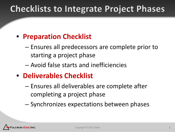### **Checklists to Integrate Project Phases**

#### • **Preparation Checklist**

- Ensures all predecessors are complete prior to starting a project phase
- Avoid false starts and inefficiencies
- **Deliverables Checklist**
	- Ensures all deliverables are complete after completing a project phase
	- Synchronizes expectations between phases

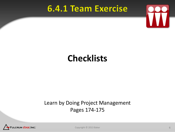#### **6.4.1 Team Exercise**



### **Checklists**

#### Learn by Doing Project Management Pages 174-175



Copyright © 2013 Baker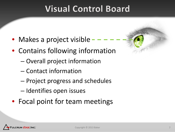## **Visual Control Board**

- Makes a project visible
- Contains following information
	- Overall project information
	- Contact information
	- Project progress and schedules
	- Identifies open issues
- Focal point for team meetings

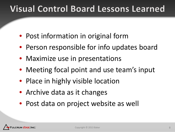## **Visual Control Board Lessons Learned**

- Post information in original form
- Person responsible for info updates board
- Maximize use in presentations
- Meeting focal point and use team's input
- Place in highly visible location
- Archive data as it changes
- Post data on project website as well